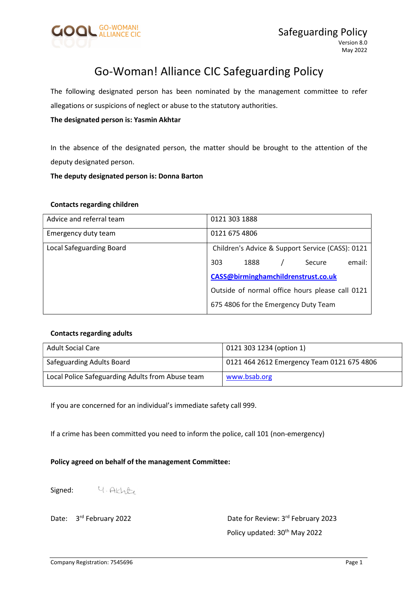

# Go-Woman! Alliance CIC Safeguarding Policy

The following designated person has been nominated by the management committee to refer allegations or suspicions of neglect or abuse to the statutory authorities.

#### The designated person is: Yasmin Akhtar

In the absence of the designated person, the matter should be brought to the attention of the deputy designated person.

#### The deputy designated person is: Donna Barton

#### Contacts regarding children

| Advice and referral team        | 0121 303 1888                                    |  |  |  |
|---------------------------------|--------------------------------------------------|--|--|--|
| Emergency duty team             | 0121 675 4806                                    |  |  |  |
| <b>Local Safeguarding Board</b> | Children's Advice & Support Service (CASS): 0121 |  |  |  |
|                                 | email:<br>303<br>1888<br>Secure                  |  |  |  |
|                                 | CASS@birminghamchildrenstrust.co.uk              |  |  |  |
|                                 | Outside of normal office hours please call 0121  |  |  |  |
|                                 | 675 4806 for the Emergency Duty Team             |  |  |  |

#### Contacts regarding adults

| <b>Adult Social Care</b>                         | 0121 303 1234 (option 1)                   |
|--------------------------------------------------|--------------------------------------------|
| Safeguarding Adults Board                        | 0121 464 2612 Emergency Team 0121 675 4806 |
| Local Police Safeguarding Adults from Abuse team | www.bsab.org                               |

If you are concerned for an individual's immediate safety call 999.

If a crime has been committed you need to inform the police, call 101 (non-emergency)

#### Policy agreed on behalf of the management Committee:

4. Akhte Signed:

Date: 3<sup>rd</sup> February 2022 **Date for Review: 3<sup>rd</sup> February 2023** Policy updated: 30<sup>th</sup> May 2022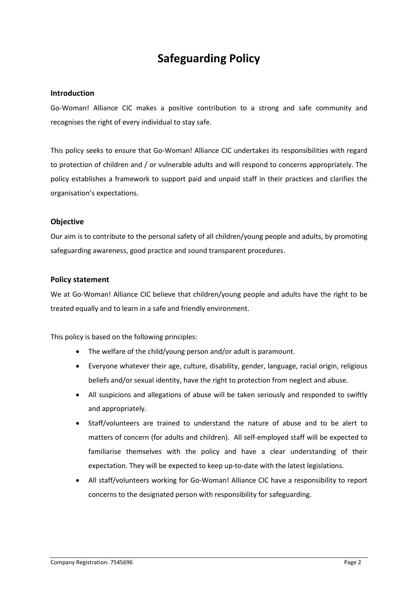# Safeguarding Policy

#### Introduction

Go-Woman! Alliance CIC makes a positive contribution to a strong and safe community and recognises the right of every individual to stay safe.

This policy seeks to ensure that Go-Woman! Alliance CIC undertakes its responsibilities with regard to protection of children and / or vulnerable adults and will respond to concerns appropriately. The policy establishes a framework to support paid and unpaid staff in their practices and clarifies the organisation's expectations.

#### **Objective**

Our aim is to contribute to the personal safety of all children/young people and adults, by promoting safeguarding awareness, good practice and sound transparent procedures.

#### Policy statement

We at Go-Woman! Alliance CIC believe that children/young people and adults have the right to be treated equally and to learn in a safe and friendly environment.

This policy is based on the following principles:

- The welfare of the child/young person and/or adult is paramount.
- Everyone whatever their age, culture, disability, gender, language, racial origin, religious beliefs and/or sexual identity, have the right to protection from neglect and abuse.
- All suspicions and allegations of abuse will be taken seriously and responded to swiftly and appropriately.
- Staff/volunteers are trained to understand the nature of abuse and to be alert to matters of concern (for adults and children). All self-employed staff will be expected to familiarise themselves with the policy and have a clear understanding of their expectation. They will be expected to keep up-to-date with the latest legislations.
- All staff/volunteers working for Go-Woman! Alliance CIC have a responsibility to report concerns to the designated person with responsibility for safeguarding.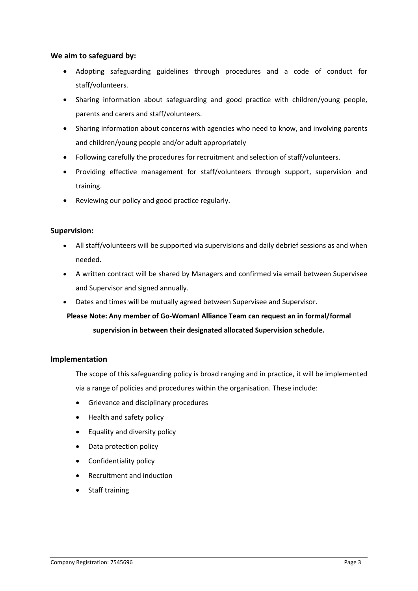#### We aim to safeguard by:

- Adopting safeguarding guidelines through procedures and a code of conduct for staff/volunteers.
- Sharing information about safeguarding and good practice with children/young people, parents and carers and staff/volunteers.
- Sharing information about concerns with agencies who need to know, and involving parents and children/young people and/or adult appropriately
- Following carefully the procedures for recruitment and selection of staff/volunteers.
- Providing effective management for staff/volunteers through support, supervision and training.
- Reviewing our policy and good practice regularly.

#### Supervision:

- All staff/volunteers will be supported via supervisions and daily debrief sessions as and when needed.
- A written contract will be shared by Managers and confirmed via email between Supervisee and Supervisor and signed annually.
- Dates and times will be mutually agreed between Supervisee and Supervisor.

### Please Note: Any member of Go-Woman! Alliance Team can request an in formal/formal supervision in between their designated allocated Supervision schedule.

#### Implementation

The scope of this safeguarding policy is broad ranging and in practice, it will be implemented via a range of policies and procedures within the organisation. These include:

- Grievance and disciplinary procedures
- Health and safety policy
- Equality and diversity policy
- Data protection policy
- Confidentiality policy
- Recruitment and induction
- Staff training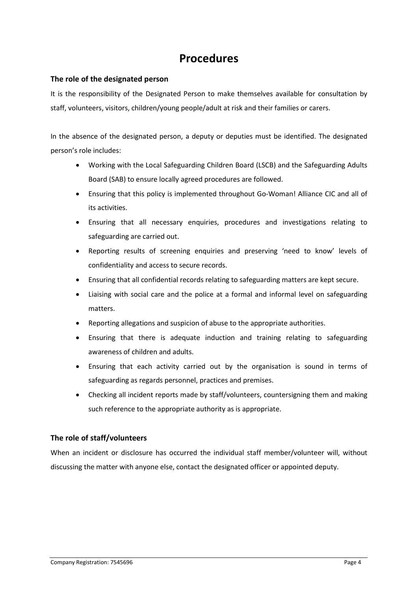## Procedures

#### The role of the designated person

It is the responsibility of the Designated Person to make themselves available for consultation by staff, volunteers, visitors, children/young people/adult at risk and their families or carers.

In the absence of the designated person, a deputy or deputies must be identified. The designated person's role includes:

- Working with the Local Safeguarding Children Board (LSCB) and the Safeguarding Adults Board (SAB) to ensure locally agreed procedures are followed.
- Ensuring that this policy is implemented throughout Go-Woman! Alliance CIC and all of its activities.
- Ensuring that all necessary enquiries, procedures and investigations relating to safeguarding are carried out.
- Reporting results of screening enquiries and preserving 'need to know' levels of confidentiality and access to secure records.
- Ensuring that all confidential records relating to safeguarding matters are kept secure.
- Liaising with social care and the police at a formal and informal level on safeguarding matters.
- Reporting allegations and suspicion of abuse to the appropriate authorities.
- Ensuring that there is adequate induction and training relating to safeguarding awareness of children and adults.
- Ensuring that each activity carried out by the organisation is sound in terms of safeguarding as regards personnel, practices and premises.
- Checking all incident reports made by staff/volunteers, countersigning them and making such reference to the appropriate authority as is appropriate.

#### The role of staff/volunteers

When an incident or disclosure has occurred the individual staff member/volunteer will, without discussing the matter with anyone else, contact the designated officer or appointed deputy.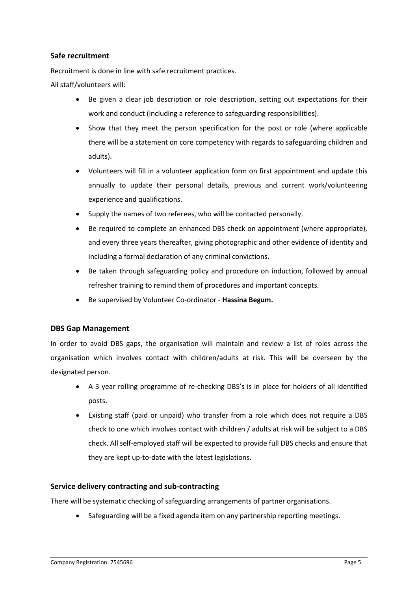#### Safe recruitment

Recruitment is done in line with safe recruitment practices.

All staff/volunteers will:

- Be given a clear job description or role description, setting out expectations for their work and conduct (including a reference to safeguarding responsibilities).
- Show that they meet the person specification for the post or role (where applicable there will be a statement on core competency with regards to safeguarding children and adults).
- Volunteers will fill in a volunteer application form on first appointment and update this annually to update their personal details, previous and current work/volunteering experience and qualifications.
- Supply the names of two referees, who will be contacted personally.
- Be required to complete an enhanced DBS check on appointment (where appropriate), and every three years thereafter, giving photographic and other evidence of identity and including a formal declaration of any criminal convictions.
- Be taken through safeguarding policy and procedure on induction, followed by annual refresher training to remind them of procedures and important concepts.
- Be supervised by Volunteer Co-ordinator Hassina Begum.

#### DBS Gap Management

In order to avoid DBS gaps, the organisation will maintain and review a list of roles across the organisation which involves contact with children/adults at risk. This will be overseen by the designated person.

- A 3 year rolling programme of re-checking DBS's is in place for holders of all identified posts.
- Existing staff (paid or unpaid) who transfer from a role which does not require a DBS check to one which involves contact with children / adults at risk will be subject to a DBS check. All self-employed staff will be expected to provide full DBS checks and ensure that they are kept up-to-date with the latest legislations.

#### Service delivery contracting and sub-contracting

There will be systematic checking of safeguarding arrangements of partner organisations.

Safeguarding will be a fixed agenda item on any partnership reporting meetings.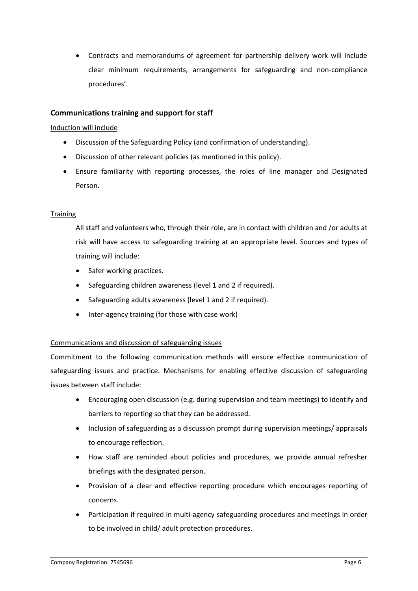Contracts and memorandums of agreement for partnership delivery work will include clear minimum requirements, arrangements for safeguarding and non-compliance procedures'.

#### Communications training and support for staff

#### Induction will include

- Discussion of the Safeguarding Policy (and confirmation of understanding).
- Discussion of other relevant policies (as mentioned in this policy).
- Ensure familiarity with reporting processes, the roles of line manager and Designated Person.

#### **Training**

All staff and volunteers who, through their role, are in contact with children and /or adults at risk will have access to safeguarding training at an appropriate level. Sources and types of training will include:

- Safer working practices.
- Safeguarding children awareness (level 1 and 2 if required).
- Safeguarding adults awareness (level 1 and 2 if required).
- $\bullet$  Inter-agency training (for those with case work)

#### Communications and discussion of safeguarding issues

Commitment to the following communication methods will ensure effective communication of safeguarding issues and practice. Mechanisms for enabling effective discussion of safeguarding issues between staff include:

- Encouraging open discussion (e.g. during supervision and team meetings) to identify and barriers to reporting so that they can be addressed.
- Inclusion of safeguarding as a discussion prompt during supervision meetings/ appraisals to encourage reflection.
- How staff are reminded about policies and procedures, we provide annual refresher briefings with the designated person.
- Provision of a clear and effective reporting procedure which encourages reporting of concerns.
- Participation if required in multi-agency safeguarding procedures and meetings in order to be involved in child/ adult protection procedures.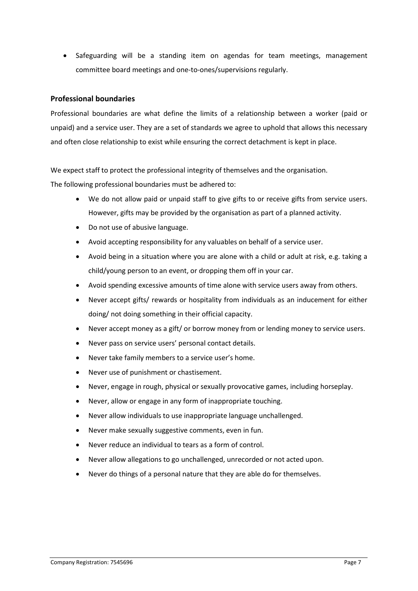• Safeguarding will be a standing item on agendas for team meetings, management committee board meetings and one-to-ones/supervisions regularly.

#### Professional boundaries

Professional boundaries are what define the limits of a relationship between a worker (paid or unpaid) and a service user. They are a set of standards we agree to uphold that allows this necessary and often close relationship to exist while ensuring the correct detachment is kept in place.

We expect staff to protect the professional integrity of themselves and the organisation.

The following professional boundaries must be adhered to:

- We do not allow paid or unpaid staff to give gifts to or receive gifts from service users. However, gifts may be provided by the organisation as part of a planned activity.
- Do not use of abusive language.
- Avoid accepting responsibility for any valuables on behalf of a service user.
- Avoid being in a situation where you are alone with a child or adult at risk, e.g. taking a child/young person to an event, or dropping them off in your car.
- Avoid spending excessive amounts of time alone with service users away from others.
- Never accept gifts/ rewards or hospitality from individuals as an inducement for either doing/ not doing something in their official capacity.
- Never accept money as a gift/ or borrow money from or lending money to service users.
- Never pass on service users' personal contact details.
- Never take family members to a service user's home.
- Never use of punishment or chastisement.
- Never, engage in rough, physical or sexually provocative games, including horseplay.
- Never, allow or engage in any form of inappropriate touching.
- Never allow individuals to use inappropriate language unchallenged.
- Never make sexually suggestive comments, even in fun.
- Never reduce an individual to tears as a form of control.
- Never allow allegations to go unchallenged, unrecorded or not acted upon.
- Never do things of a personal nature that they are able do for themselves.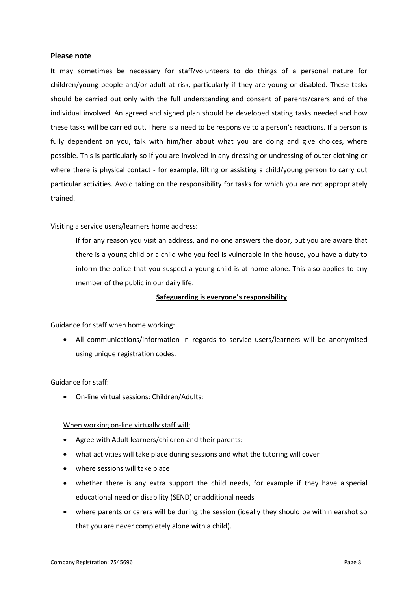#### Please note

It may sometimes be necessary for staff/volunteers to do things of a personal nature for children/young people and/or adult at risk, particularly if they are young or disabled. These tasks should be carried out only with the full understanding and consent of parents/carers and of the individual involved. An agreed and signed plan should be developed stating tasks needed and how these tasks will be carried out. There is a need to be responsive to a person's reactions. If a person is fully dependent on you, talk with him/her about what you are doing and give choices, where possible. This is particularly so if you are involved in any dressing or undressing of outer clothing or where there is physical contact - for example, lifting or assisting a child/young person to carry out particular activities. Avoid taking on the responsibility for tasks for which you are not appropriately trained.

#### Visiting a service users/learners home address:

If for any reason you visit an address, and no one answers the door, but you are aware that there is a young child or a child who you feel is vulnerable in the house, you have a duty to inform the police that you suspect a young child is at home alone. This also applies to any member of the public in our daily life.

#### Safeguarding is everyone's responsibility

#### Guidance for staff when home working:

 All communications/information in regards to service users/learners will be anonymised using unique registration codes.

#### Guidance for staff:

On-line virtual sessions: Children/Adults:

#### When working on-line virtually staff will:

- Agree with Adult learners/children and their parents:
- what activities will take place during sessions and what the tutoring will cover
- where sessions will take place
- whether there is any extra support the child needs, for example if they have a special educational need or disability (SEND) or additional needs
- where parents or carers will be during the session (ideally they should be within earshot so that you are never completely alone with a child).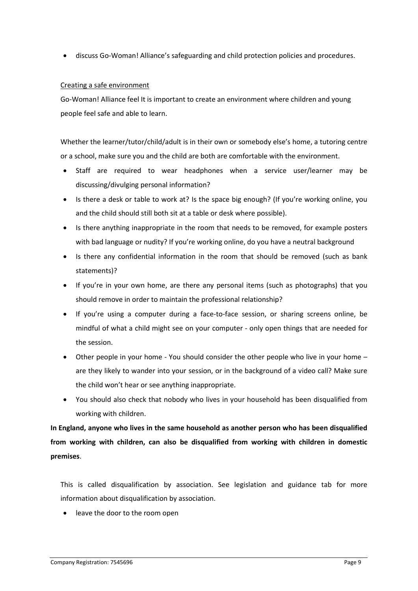discuss Go-Woman! Alliance's safeguarding and child protection policies and procedures.

#### Creating a safe environment

Go-Woman! Alliance feel It is important to create an environment where children and young people feel safe and able to learn.

Whether the learner/tutor/child/adult is in their own or somebody else's home, a tutoring centre or a school, make sure you and the child are both are comfortable with the environment.

- Staff are required to wear headphones when a service user/learner may be discussing/divulging personal information?
- Is there a desk or table to work at? Is the space big enough? (If you're working online, you and the child should still both sit at a table or desk where possible).
- Is there anything inappropriate in the room that needs to be removed, for example posters with bad language or nudity? If you're working online, do you have a neutral background
- Is there any confidential information in the room that should be removed (such as bank statements)?
- If you're in your own home, are there any personal items (such as photographs) that you should remove in order to maintain the professional relationship?
- If you're using a computer during a face-to-face session, or sharing screens online, be mindful of what a child might see on your computer - only open things that are needed for the session.
- Other people in your home You should consider the other people who live in your home are they likely to wander into your session, or in the background of a video call? Make sure the child won't hear or see anything inappropriate.
- You should also check that nobody who lives in your household has been disqualified from working with children.

In England, anyone who lives in the same household as another person who has been disqualified from working with children, can also be disqualified from working with children in domestic premises.

This is called disqualification by association. See legislation and guidance tab for more information about disqualification by association.

leave the door to the room open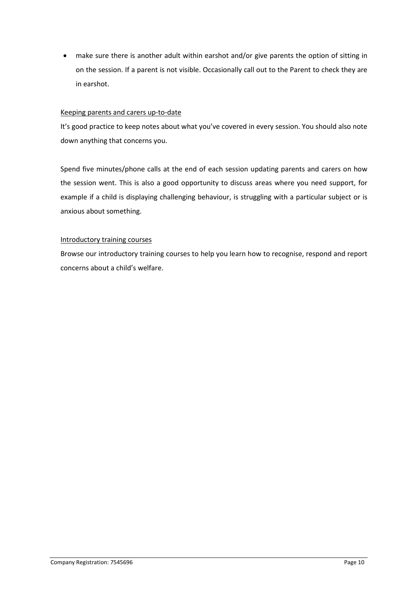make sure there is another adult within earshot and/or give parents the option of sitting in on the session. If a parent is not visible. Occasionally call out to the Parent to check they are in earshot.

#### Keeping parents and carers up-to-date

It's good practice to keep notes about what you've covered in every session. You should also note down anything that concerns you.

Spend five minutes/phone calls at the end of each session updating parents and carers on how the session went. This is also a good opportunity to discuss areas where you need support, for example if a child is displaying challenging behaviour, is struggling with a particular subject or is anxious about something.

#### Introductory training courses

Browse our introductory training courses to help you learn how to recognise, respond and report concerns about a child's welfare.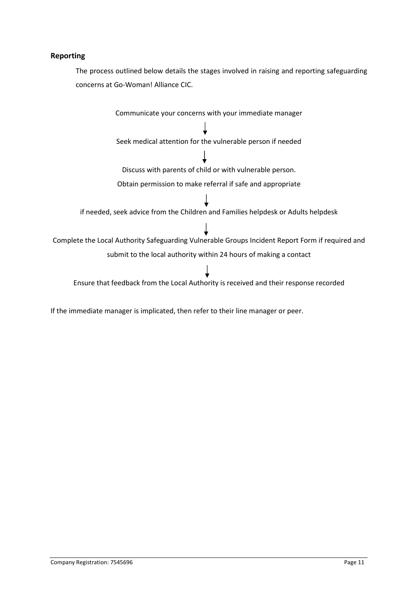#### Reporting

The process outlined below details the stages involved in raising and reporting safeguarding concerns at Go-Woman! Alliance CIC.

Communicate your concerns with your immediate manager Seek medical attention for the vulnerable person if needed Discuss with parents of child or with vulnerable person. Obtain permission to make referral if safe and appropriate if needed, seek advice from the Children and Families helpdesk or Adults helpdesk Complete the Local Authority Safeguarding Vulnerable Groups Incident Report Form if required and submit to the local authority within 24 hours of making a contact Ensure that feedback from the Local Authority is received and their response recorded

If the immediate manager is implicated, then refer to their line manager or peer.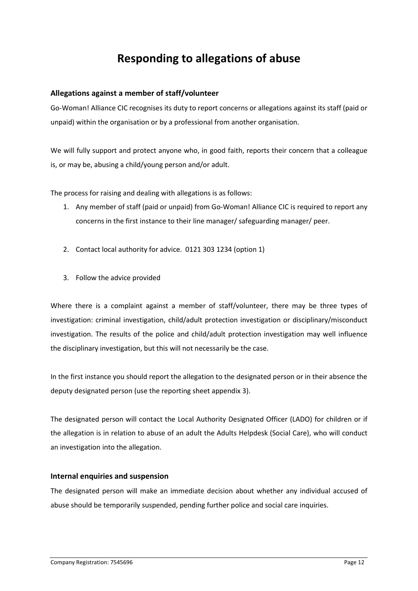## Responding to allegations of abuse

#### Allegations against a member of staff/volunteer

Go-Woman! Alliance CIC recognises its duty to report concerns or allegations against its staff (paid or unpaid) within the organisation or by a professional from another organisation.

We will fully support and protect anyone who, in good faith, reports their concern that a colleague is, or may be, abusing a child/young person and/or adult.

The process for raising and dealing with allegations is as follows:

- 1. Any member of staff (paid or unpaid) from Go-Woman! Alliance CIC is required to report any concerns in the first instance to their line manager/ safeguarding manager/ peer.
- 2. Contact local authority for advice. 0121 303 1234 (option 1)
- 3. Follow the advice provided

Where there is a complaint against a member of staff/volunteer, there may be three types of investigation: criminal investigation, child/adult protection investigation or disciplinary/misconduct investigation. The results of the police and child/adult protection investigation may well influence the disciplinary investigation, but this will not necessarily be the case.

In the first instance you should report the allegation to the designated person or in their absence the deputy designated person (use the reporting sheet appendix 3).

The designated person will contact the Local Authority Designated Officer (LADO) for children or if the allegation is in relation to abuse of an adult the Adults Helpdesk (Social Care), who will conduct an investigation into the allegation.

#### Internal enquiries and suspension

The designated person will make an immediate decision about whether any individual accused of abuse should be temporarily suspended, pending further police and social care inquiries.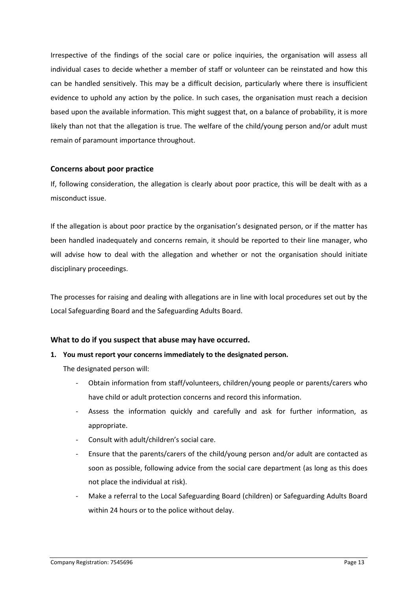Irrespective of the findings of the social care or police inquiries, the organisation will assess all individual cases to decide whether a member of staff or volunteer can be reinstated and how this can be handled sensitively. This may be a difficult decision, particularly where there is insufficient evidence to uphold any action by the police. In such cases, the organisation must reach a decision based upon the available information. This might suggest that, on a balance of probability, it is more likely than not that the allegation is true. The welfare of the child/young person and/or adult must remain of paramount importance throughout.

#### Concerns about poor practice

If, following consideration, the allegation is clearly about poor practice, this will be dealt with as a misconduct issue.

If the allegation is about poor practice by the organisation's designated person, or if the matter has been handled inadequately and concerns remain, it should be reported to their line manager, who will advise how to deal with the allegation and whether or not the organisation should initiate disciplinary proceedings.

The processes for raising and dealing with allegations are in line with local procedures set out by the Local Safeguarding Board and the Safeguarding Adults Board.

#### What to do if you suspect that abuse may have occurred.

#### 1. You must report your concerns immediately to the designated person.

The designated person will:

- Obtain information from staff/volunteers, children/young people or parents/carers who have child or adult protection concerns and record this information.
- Assess the information quickly and carefully and ask for further information, as appropriate.
- Consult with adult/children's social care.
- Ensure that the parents/carers of the child/young person and/or adult are contacted as soon as possible, following advice from the social care department (as long as this does not place the individual at risk).
- Make a referral to the Local Safeguarding Board (children) or Safeguarding Adults Board within 24 hours or to the police without delay.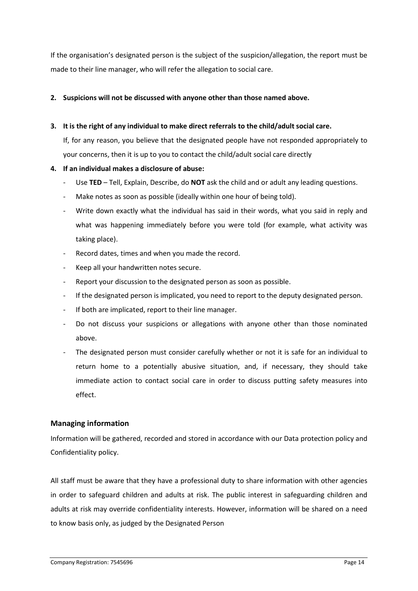If the organisation's designated person is the subject of the suspicion/allegation, the report must be made to their line manager, who will refer the allegation to social care.

#### 2. Suspicions will not be discussed with anyone other than those named above.

#### 3. It is the right of any individual to make direct referrals to the child/adult social care.

If, for any reason, you believe that the designated people have not responded appropriately to your concerns, then it is up to you to contact the child/adult social care directly

#### 4. If an individual makes a disclosure of abuse:

- Use TED Tell, Explain, Describe, do NOT ask the child and or adult any leading questions.
- Make notes as soon as possible (ideally within one hour of being told).
- Write down exactly what the individual has said in their words, what you said in reply and what was happening immediately before you were told (for example, what activity was taking place).
- Record dates, times and when you made the record.
- Keep all your handwritten notes secure.
- Report your discussion to the designated person as soon as possible.
- If the designated person is implicated, you need to report to the deputy designated person.
- If both are implicated, report to their line manager.
- Do not discuss your suspicions or allegations with anyone other than those nominated above.
- The designated person must consider carefully whether or not it is safe for an individual to return home to a potentially abusive situation, and, if necessary, they should take immediate action to contact social care in order to discuss putting safety measures into effect.

#### Managing information

Information will be gathered, recorded and stored in accordance with our Data protection policy and Confidentiality policy.

All staff must be aware that they have a professional duty to share information with other agencies in order to safeguard children and adults at risk. The public interest in safeguarding children and adults at risk may override confidentiality interests. However, information will be shared on a need to know basis only, as judged by the Designated Person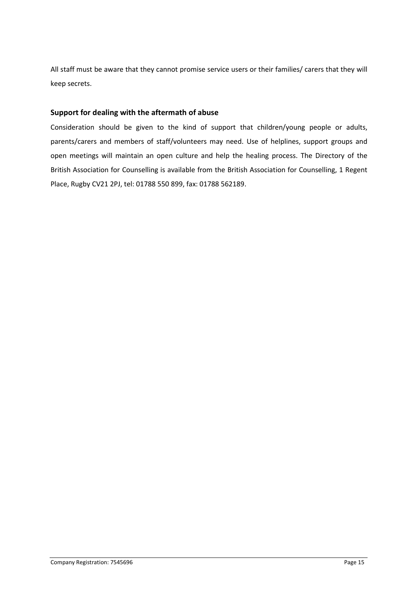All staff must be aware that they cannot promise service users or their families/ carers that they will keep secrets.

#### Support for dealing with the aftermath of abuse

Consideration should be given to the kind of support that children/young people or adults, parents/carers and members of staff/volunteers may need. Use of helplines, support groups and open meetings will maintain an open culture and help the healing process. The Directory of the British Association for Counselling is available from the British Association for Counselling, 1 Regent Place, Rugby CV21 2PJ, tel: 01788 550 899, fax: 01788 562189.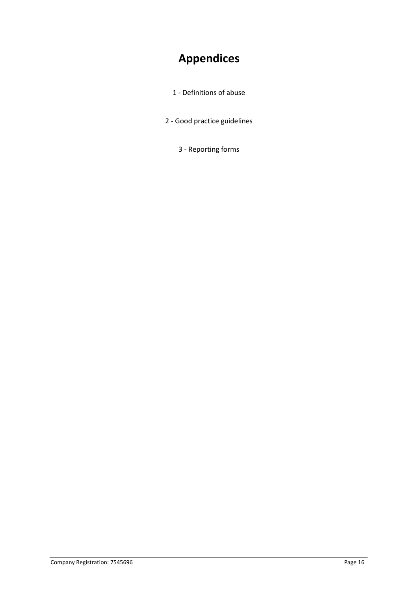# Appendices

- 1 Definitions of abuse
- 2 Good practice guidelines
	- 3 Reporting forms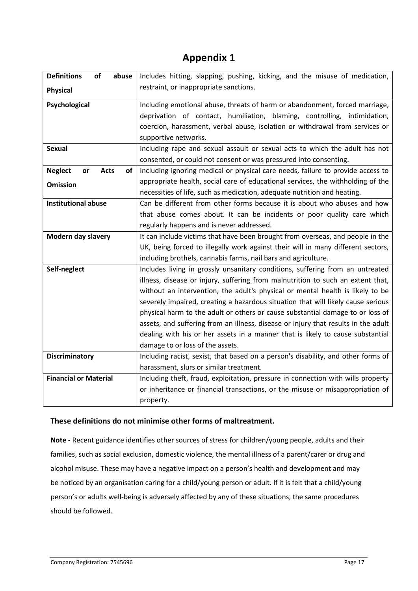## Appendix 1

| <b>Definitions</b><br>of<br>abuse         | Includes hitting, slapping, pushing, kicking, and the misuse of medication,        |  |  |
|-------------------------------------------|------------------------------------------------------------------------------------|--|--|
| <b>Physical</b>                           | restraint, or inappropriate sanctions.                                             |  |  |
|                                           |                                                                                    |  |  |
| Psychological                             | Including emotional abuse, threats of harm or abandonment, forced marriage,        |  |  |
|                                           | deprivation of contact, humiliation, blaming, controlling, intimidation,           |  |  |
|                                           | coercion, harassment, verbal abuse, isolation or withdrawal from services or       |  |  |
|                                           | supportive networks.                                                               |  |  |
| <b>Sexual</b>                             | Including rape and sexual assault or sexual acts to which the adult has not        |  |  |
|                                           | consented, or could not consent or was pressured into consenting.                  |  |  |
| <b>Neglect</b><br>or<br><b>Acts</b><br>of | Including ignoring medical or physical care needs, failure to provide access to    |  |  |
| <b>Omission</b>                           | appropriate health, social care of educational services, the withholding of the    |  |  |
|                                           | necessities of life, such as medication, adequate nutrition and heating.           |  |  |
| <b>Institutional abuse</b>                | Can be different from other forms because it is about who abuses and how           |  |  |
|                                           | that abuse comes about. It can be incidents or poor quality care which             |  |  |
|                                           | regularly happens and is never addressed.                                          |  |  |
| Modern day slavery                        | It can include victims that have been brought from overseas, and people in the     |  |  |
|                                           | UK, being forced to illegally work against their will in many different sectors,   |  |  |
|                                           | including brothels, cannabis farms, nail bars and agriculture.                     |  |  |
| Self-neglect                              | Includes living in grossly unsanitary conditions, suffering from an untreated      |  |  |
|                                           | illness, disease or injury, suffering from malnutrition to such an extent that,    |  |  |
|                                           | without an intervention, the adult's physical or mental health is likely to be     |  |  |
|                                           | severely impaired, creating a hazardous situation that will likely cause serious   |  |  |
|                                           | physical harm to the adult or others or cause substantial damage to or loss of     |  |  |
|                                           | assets, and suffering from an illness, disease or injury that results in the adult |  |  |
|                                           | dealing with his or her assets in a manner that is likely to cause substantial     |  |  |
|                                           | damage to or loss of the assets.                                                   |  |  |
| <b>Discriminatory</b>                     | Including racist, sexist, that based on a person's disability, and other forms of  |  |  |
|                                           | harassment, slurs or similar treatment.                                            |  |  |
| <b>Financial or Material</b>              | Including theft, fraud, exploitation, pressure in connection with wills property   |  |  |
|                                           | or inheritance or financial transactions, or the misuse or misappropriation of     |  |  |
|                                           | property.                                                                          |  |  |

#### These definitions do not minimise other forms of maltreatment.

Note - Recent guidance identifies other sources of stress for children/young people, adults and their families, such as social exclusion, domestic violence, the mental illness of a parent/carer or drug and alcohol misuse. These may have a negative impact on a person's health and development and may be noticed by an organisation caring for a child/young person or adult. If it is felt that a child/young person's or adults well-being is adversely affected by any of these situations, the same procedures should be followed.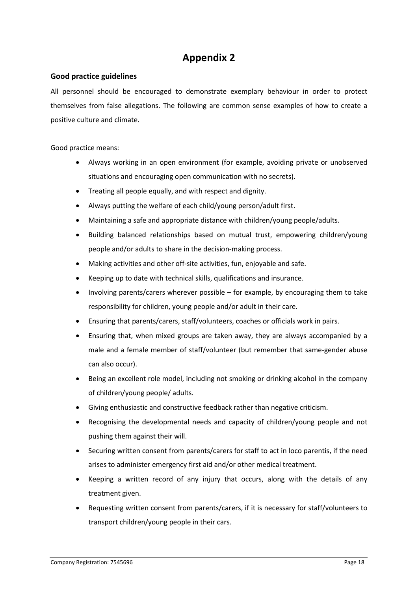## Appendix 2

#### Good practice guidelines

All personnel should be encouraged to demonstrate exemplary behaviour in order to protect themselves from false allegations. The following are common sense examples of how to create a positive culture and climate.

Good practice means:

- Always working in an open environment (for example, avoiding private or unobserved situations and encouraging open communication with no secrets).
- Treating all people equally, and with respect and dignity.
- Always putting the welfare of each child/young person/adult first.
- Maintaining a safe and appropriate distance with children/young people/adults.
- Building balanced relationships based on mutual trust, empowering children/young people and/or adults to share in the decision-making process.
- Making activities and other off-site activities, fun, enjoyable and safe.
- Keeping up to date with technical skills, qualifications and insurance.
- Involving parents/carers wherever possible for example, by encouraging them to take responsibility for children, young people and/or adult in their care.
- Ensuring that parents/carers, staff/volunteers, coaches or officials work in pairs.
- Ensuring that, when mixed groups are taken away, they are always accompanied by a male and a female member of staff/volunteer (but remember that same-gender abuse can also occur).
- Being an excellent role model, including not smoking or drinking alcohol in the company of children/young people/ adults.
- Giving enthusiastic and constructive feedback rather than negative criticism.
- Recognising the developmental needs and capacity of children/young people and not pushing them against their will.
- Securing written consent from parents/carers for staff to act in loco parentis, if the need arises to administer emergency first aid and/or other medical treatment.
- Keeping a written record of any injury that occurs, along with the details of any treatment given.
- Requesting written consent from parents/carers, if it is necessary for staff/volunteers to transport children/young people in their cars.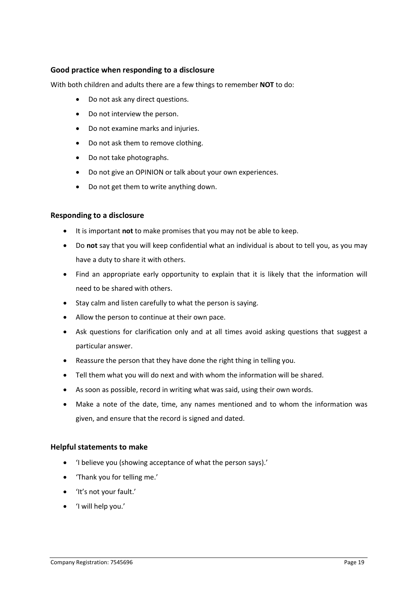#### Good practice when responding to a disclosure

With both children and adults there are a few things to remember NOT to do:

- Do not ask any direct questions.
- Do not interview the person.
- Do not examine marks and injuries.
- Do not ask them to remove clothing.
- Do not take photographs.
- Do not give an OPINION or talk about your own experiences.
- Do not get them to write anything down.

#### Responding to a disclosure

- It is important not to make promises that you may not be able to keep.
- Do not say that you will keep confidential what an individual is about to tell you, as you may have a duty to share it with others.
- Find an appropriate early opportunity to explain that it is likely that the information will need to be shared with others.
- Stay calm and listen carefully to what the person is saying.
- Allow the person to continue at their own pace.
- Ask questions for clarification only and at all times avoid asking questions that suggest a particular answer.
- Reassure the person that they have done the right thing in telling you.
- Tell them what you will do next and with whom the information will be shared.
- As soon as possible, record in writing what was said, using their own words.
- Make a note of the date, time, any names mentioned and to whom the information was given, and ensure that the record is signed and dated.

#### Helpful statements to make

- 'I believe you (showing acceptance of what the person says).'
- 'Thank you for telling me.'
- 'It's not your fault.'
- 'I will help you.'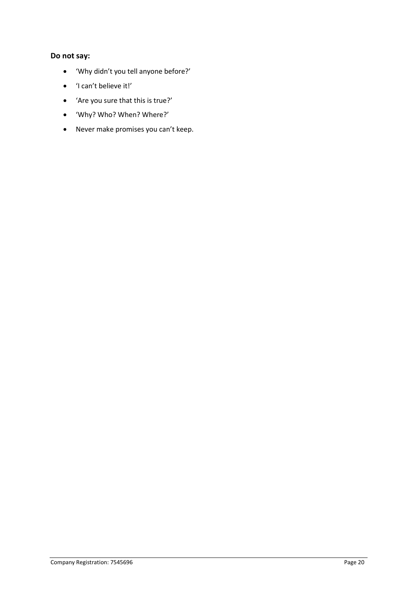#### Do not say:

- 'Why didn't you tell anyone before?'
- 'I can't believe it!'
- 'Are you sure that this is true?'
- 'Why? Who? When? Where?'
- Never make promises you can't keep.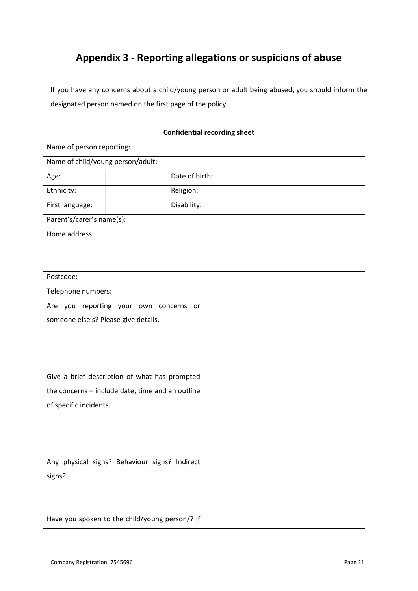## Appendix 3 - Reporting allegations or suspicions of abuse

If you have any concerns about a child/young person or adult being abused, you should inform the designated person named on the first page of the policy.

| Name of person reporting:                        |                                               |                |  |  |  |
|--------------------------------------------------|-----------------------------------------------|----------------|--|--|--|
| Name of child/young person/adult:                |                                               |                |  |  |  |
| Age:                                             |                                               | Date of birth: |  |  |  |
| Ethnicity:                                       |                                               | Religion:      |  |  |  |
| First language:                                  |                                               | Disability:    |  |  |  |
| Parent's/carer's name(s):                        |                                               |                |  |  |  |
| Home address:                                    |                                               |                |  |  |  |
|                                                  |                                               |                |  |  |  |
|                                                  |                                               |                |  |  |  |
| Postcode:                                        |                                               |                |  |  |  |
| Telephone numbers:                               |                                               |                |  |  |  |
|                                                  | Are you reporting your own concerns or        |                |  |  |  |
| someone else's? Please give details.             |                                               |                |  |  |  |
|                                                  |                                               |                |  |  |  |
|                                                  |                                               |                |  |  |  |
|                                                  |                                               |                |  |  |  |
|                                                  | Give a brief description of what has prompted |                |  |  |  |
| the concerns - include date, time and an outline |                                               |                |  |  |  |
| of specific incidents.                           |                                               |                |  |  |  |
|                                                  |                                               |                |  |  |  |
|                                                  |                                               |                |  |  |  |
|                                                  |                                               |                |  |  |  |
|                                                  | Any physical signs? Behaviour signs? Indirect |                |  |  |  |
| signs?                                           |                                               |                |  |  |  |
|                                                  |                                               |                |  |  |  |
|                                                  |                                               |                |  |  |  |
|                                                  |                                               |                |  |  |  |
| Have you spoken to the child/young person/? If   |                                               |                |  |  |  |

#### Confidential recording sheet